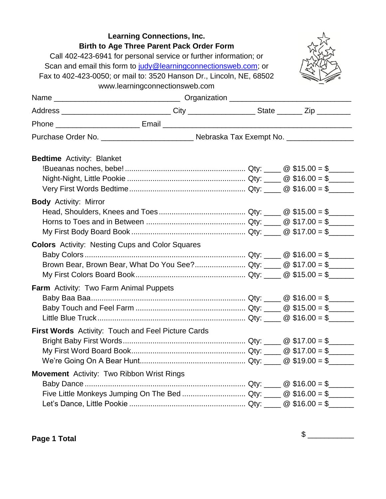| Birth to Age Three Parent Pack Order Form<br>Call 402-423-6941 for personal service or further information; or<br>Scan and email this form to judy@learningconnectionsweb.com; or<br>Fax to 402-423-0050; or mail to: 3520 Hanson Dr., Lincoln, NE, 68502 | <b>Learning Connections, Inc.</b><br>www.learningconnectionsweb.com |  |  |
|-----------------------------------------------------------------------------------------------------------------------------------------------------------------------------------------------------------------------------------------------------------|---------------------------------------------------------------------|--|--|
|                                                                                                                                                                                                                                                           |                                                                     |  |  |
| Address _______________________________City ___________________State ________Zip __________                                                                                                                                                               |                                                                     |  |  |
|                                                                                                                                                                                                                                                           |                                                                     |  |  |
|                                                                                                                                                                                                                                                           |                                                                     |  |  |
| <b>Bedtime</b> Activity: Blanket                                                                                                                                                                                                                          |                                                                     |  |  |
| <b>Body</b> Activity: Mirror                                                                                                                                                                                                                              |                                                                     |  |  |
| <b>Colors</b> Activity: Nesting Cups and Color Squares<br>Brown Bear, Brown Bear, What Do You See? Qty: _____ @ \$17.00 = \$______                                                                                                                        |                                                                     |  |  |
| <b>Farm</b> Activity: Two Farm Animal Puppets                                                                                                                                                                                                             |                                                                     |  |  |
| First Words Activity: Touch and Feel Picture Cards                                                                                                                                                                                                        |                                                                     |  |  |
| <b>Movement</b> Activity: Two Ribbon Wrist Rings                                                                                                                                                                                                          |                                                                     |  |  |